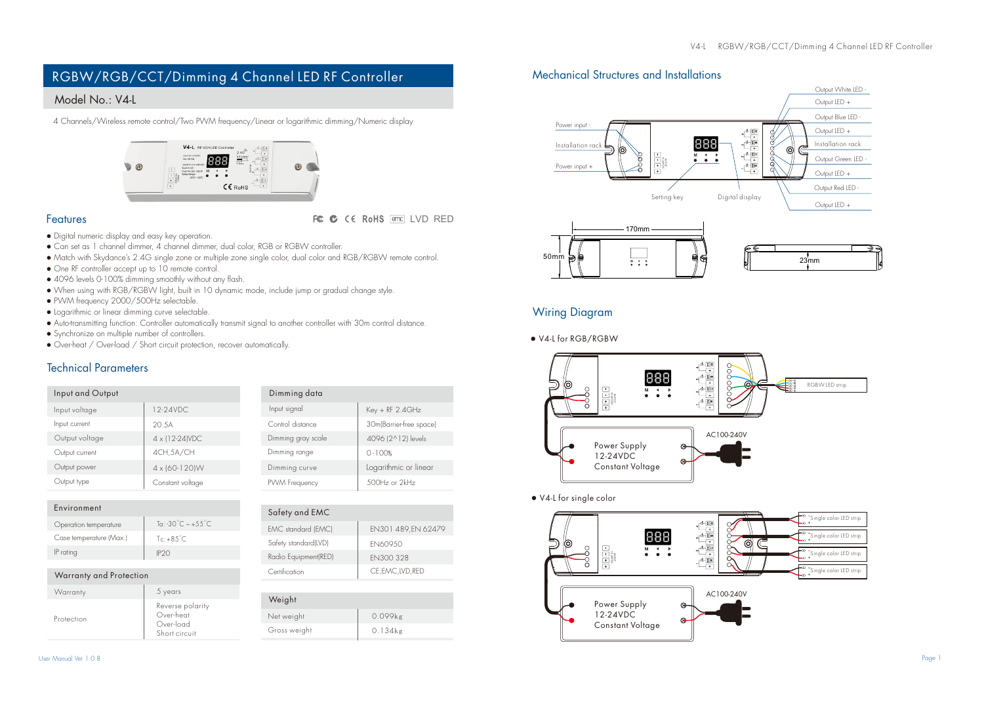# RGBW/RGB/CCT/Dimming 4 Channel LED RF Controller

## Model No.: V4-L

4 Channels/Wireless remote control/Two PWM frequency/Linear or logarithmic dimming/Numeric display



### Features

FC C CE RoHS and LVD RED

- Digital numeric display and easy key operation.
- Can set as 1 channel dimmer, 4 channel dimmer, dual color, RGB or RGBW controller.
- Match with Skydance's 2.4G single zone or multiple zone single color, dual color and RGB/RGBW remote control.
- One RF controller accept up to 10 remote control.
- 4096 levels 0-100% dimming smoothly without any flash.
- When using with RGB/RGBW light, built in 10 dynamic mode, include jump or gradual change style.
- PWM frequency 2000/500Hz selectable.
- Logarithmic or linear dimming curve selectable.
- Auto-transmitting function: Controller automatically transmit signal to another controller with 30m control distance.
- Synchronize on multiple number of controllers.
- Over-heat / Over-load / Short circuit protection, recover automatically.

## Technical Parameters

| Input and Output |                  | Dimming data       |                         |
|------------------|------------------|--------------------|-------------------------|
| Input voltage    | 12-24VDC.        | Input signal       | $Key + RF$ 2.4GHz       |
| Input current    | 20.5A            | Control distance   | 30m(Barrier-free space) |
| Output voltage   | 4 x (12-24) VDC  | Dimming gray scale | 4096 (2^12) levels      |
| Output current   | 4CH.5A/CH        | Dimming range      | $0 - 100%$              |
| Output power     | 4 x (60-120) W   | Dimming curve      | Logarithmic or linear   |
| Output type      | Constant voltage | PWM Frequency      | 500Hz or 2kHz           |

 $\overline{N}$ 

| Environment             |                                           |
|-------------------------|-------------------------------------------|
| Operation temperature   | To: $-30^{\circ}$ C $\sim +55^{\circ}$ C. |
| Case temperature (Max.) | $Te: +8.5^{\circ}C$                       |
| IP rating               | IP <sub>20</sub>                          |

| Warranty and Protection |         |
|-------------------------|---------|
| Warranty                | 5 years |

| Protection | Reverse polarity<br>Over-heat<br>Over-load<br>Short circuit |
|------------|-------------------------------------------------------------|

| Dimming range        | $0 - 100%$            |
|----------------------|-----------------------|
| Dimming curve        | Logarithmic or linear |
| PWM Frequency        | 500Hz or 2kHz         |
|                      |                       |
| Safety and EMC       |                       |
| EMC standard (EMC)   | EN301 489.EN 62479    |
| Safety standard(LVD) | <b>FN60950</b>        |

Radio Equipment(RED) EN300 328 Certification CE, EMC, IVD, RED

| Weight       |            |
|--------------|------------|
| Net weight   | 0.099kg    |
| Gross weight | $0.134$ kg |
|              |            |

## Mechanical Structures and Installations



## Wiring Diagram

**●** V4-L for RGB/RGBW



### **●** V4-L for single color